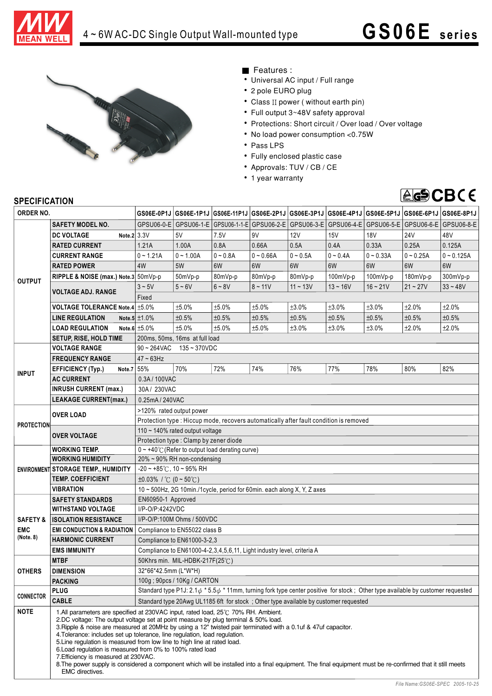



- Features :
- Universal AC input / Full range
- 2 pole EURO plug
- Class II power ( without earth pin)
- Full output 3~48V safety approval
- Protections: Short circuit / Over load / Over voltage
- No load power consumption <0.75W
- Pass LPS
- Fully enclosed plastic case
- Approvals: TUV / CB / CE
- 1 year warranty



## **SPECIFICATION**

| ORDER NO.                                      |                                                                                                                                                                                                                                                                                                                                                                                                                                                                                                                                                                                                                                                                                                                                          |                                                                                                                                            |                                |            |                         |            | GS06E-0P1J GS06E-1P1J GS06E-11P1J GS06E-2P1J GS06E-3P1J GS06E-4P1J GS06E-5P1J GS06E-6P1J GS06E-6P1J |             |             |              |
|------------------------------------------------|------------------------------------------------------------------------------------------------------------------------------------------------------------------------------------------------------------------------------------------------------------------------------------------------------------------------------------------------------------------------------------------------------------------------------------------------------------------------------------------------------------------------------------------------------------------------------------------------------------------------------------------------------------------------------------------------------------------------------------------|--------------------------------------------------------------------------------------------------------------------------------------------|--------------------------------|------------|-------------------------|------------|-----------------------------------------------------------------------------------------------------|-------------|-------------|--------------|
|                                                | <b>SAFETY MODEL NO.</b>                                                                                                                                                                                                                                                                                                                                                                                                                                                                                                                                                                                                                                                                                                                  |                                                                                                                                            | GPSU06-0-E   GPSU06-1-E        |            | GPSU06-1-1-E GPSU06-2-E | GPSU06-3-E | GPSU06-4-E                                                                                          | GPSU06-5-E  | GPSU06-6-E  | GPSU06-8-E   |
| <b>OUTPUT</b>                                  | Note.2 3.3V<br><b>DC VOLTAGE</b>                                                                                                                                                                                                                                                                                                                                                                                                                                                                                                                                                                                                                                                                                                         |                                                                                                                                            | 5V                             | 7.5V       | 9V                      | 12V        | 15V                                                                                                 | <b>18V</b>  | <b>24V</b>  | 48V          |
|                                                | <b>RATED CURRENT</b>                                                                                                                                                                                                                                                                                                                                                                                                                                                                                                                                                                                                                                                                                                                     | 1.21A                                                                                                                                      | 1.00A                          | 0.8A       | 0.66A                   | 0.5A       | 0.4A                                                                                                | 0.33A       | 0.25A       | 0.125A       |
|                                                | <b>CURRENT RANGE</b>                                                                                                                                                                                                                                                                                                                                                                                                                                                                                                                                                                                                                                                                                                                     | $0 - 1.21A$                                                                                                                                | $0 - 1.00A$                    | $0 - 0.8A$ | $0 - 0.66A$             | $0 - 0.5A$ | $0 - 0.4A$                                                                                          | $0 - 0.33A$ | $0 - 0.25A$ | $0 - 0.125A$ |
|                                                | <b>RATED POWER</b>                                                                                                                                                                                                                                                                                                                                                                                                                                                                                                                                                                                                                                                                                                                       | 4W                                                                                                                                         | 5W                             | 6W         | 6W                      | 6W         | 6W                                                                                                  | 6W          | 6W          | 6W           |
|                                                | RIPPLE & NOISE (max.) Note.3 50mVp-p                                                                                                                                                                                                                                                                                                                                                                                                                                                                                                                                                                                                                                                                                                     |                                                                                                                                            | 50mVp-p                        | 80mVp-p    | 80mVp-p                 | 80mVp-p    | 100mVp-p                                                                                            | 100mVp-p    | 180mVp-p    | 300mVp-p     |
|                                                | <b>VOLTAGE ADJ. RANGE</b>                                                                                                                                                                                                                                                                                                                                                                                                                                                                                                                                                                                                                                                                                                                | $3 \sim 5V$                                                                                                                                | $5 - 6V$                       | $6 - 8V$   | $8 - 11V$               | $11 - 13V$ | $13 - 16V$                                                                                          | $16 - 21V$  | $21 - 27V$  | $33 - 48V$   |
|                                                |                                                                                                                                                                                                                                                                                                                                                                                                                                                                                                                                                                                                                                                                                                                                          | Fixed                                                                                                                                      |                                |            |                         |            |                                                                                                     |             |             |              |
|                                                | VOLTAGE TOLERANCE Note.4 ±5.0%                                                                                                                                                                                                                                                                                                                                                                                                                                                                                                                                                                                                                                                                                                           |                                                                                                                                            | ±5.0%                          | ±5.0%      | ±5.0%                   | ±3.0%      | ±3.0%                                                                                               | ±3.0%       | ±2.0%       | ±2.0%        |
|                                                | <b>LINE REGULATION</b>                                                                                                                                                                                                                                                                                                                                                                                                                                                                                                                                                                                                                                                                                                                   | Note.5 $\pm$ 1.0%                                                                                                                          | ±0.5%                          | ±0.5%      | ±0.5%                   | ±0.5%      | ±0.5%                                                                                               | ±0.5%       | ±0.5%       | ±0.5%        |
|                                                | <b>LOAD REGULATION</b>                                                                                                                                                                                                                                                                                                                                                                                                                                                                                                                                                                                                                                                                                                                   | Note.6 $\pm 5.0\%$                                                                                                                         | ±5.0%                          | ±5.0%      | ±5.0%                   | ±3.0%      | ±3.0%                                                                                               | ±3.0%       | ±2.0%       | ±2.0%        |
|                                                | <b>SETUP, RISE, HOLD TIME</b>                                                                                                                                                                                                                                                                                                                                                                                                                                                                                                                                                                                                                                                                                                            |                                                                                                                                            | 200ms, 50ms, 16ms at full load |            |                         |            |                                                                                                     |             |             |              |
|                                                | <b>VOLTAGE RANGE</b>                                                                                                                                                                                                                                                                                                                                                                                                                                                                                                                                                                                                                                                                                                                     | $90 - 264$ VAC<br>$135 - 370$ VDC                                                                                                          |                                |            |                         |            |                                                                                                     |             |             |              |
| <b>INPUT</b>                                   | <b>FREQUENCY RANGE</b>                                                                                                                                                                                                                                                                                                                                                                                                                                                                                                                                                                                                                                                                                                                   | $47 \sim 63$ Hz                                                                                                                            |                                |            |                         |            |                                                                                                     |             |             |              |
|                                                | Note.7 55%<br><b>EFFICIENCY (Typ.)</b>                                                                                                                                                                                                                                                                                                                                                                                                                                                                                                                                                                                                                                                                                                   |                                                                                                                                            | 70%                            | 72%        | 74%                     | 76%        | 77%                                                                                                 | 78%         | 80%         | 82%          |
|                                                | <b>AC CURRENT</b>                                                                                                                                                                                                                                                                                                                                                                                                                                                                                                                                                                                                                                                                                                                        | 0.3A/100VAC                                                                                                                                |                                |            |                         |            |                                                                                                     |             |             |              |
|                                                | <b>INRUSH CURRENT (max.)</b>                                                                                                                                                                                                                                                                                                                                                                                                                                                                                                                                                                                                                                                                                                             | 30A / 230VAC                                                                                                                               |                                |            |                         |            |                                                                                                     |             |             |              |
|                                                | <b>LEAKAGE CURRENT(max.)</b>                                                                                                                                                                                                                                                                                                                                                                                                                                                                                                                                                                                                                                                                                                             | 0.25mA / 240VAC                                                                                                                            |                                |            |                         |            |                                                                                                     |             |             |              |
| <b>PROTECTION</b>                              | <b>OVER LOAD</b>                                                                                                                                                                                                                                                                                                                                                                                                                                                                                                                                                                                                                                                                                                                         | >120% rated output power                                                                                                                   |                                |            |                         |            |                                                                                                     |             |             |              |
|                                                |                                                                                                                                                                                                                                                                                                                                                                                                                                                                                                                                                                                                                                                                                                                                          | Protection type : Hiccup mode, recovers automatically after fault condition is removed                                                     |                                |            |                         |            |                                                                                                     |             |             |              |
|                                                | <b>OVER VOLTAGE</b>                                                                                                                                                                                                                                                                                                                                                                                                                                                                                                                                                                                                                                                                                                                      | 110 ~ 140% rated output voltage                                                                                                            |                                |            |                         |            |                                                                                                     |             |             |              |
|                                                |                                                                                                                                                                                                                                                                                                                                                                                                                                                                                                                                                                                                                                                                                                                                          | Protection type : Clamp by zener diode                                                                                                     |                                |            |                         |            |                                                                                                     |             |             |              |
|                                                | <b>WORKING TEMP.</b>                                                                                                                                                                                                                                                                                                                                                                                                                                                                                                                                                                                                                                                                                                                     | $0 \sim +40^{\circ}$ (Refer to output load derating curve)                                                                                 |                                |            |                         |            |                                                                                                     |             |             |              |
|                                                | <b>WORKING HUMIDITY</b>                                                                                                                                                                                                                                                                                                                                                                                                                                                                                                                                                                                                                                                                                                                  | 20% ~ 90% RH non-condensing                                                                                                                |                                |            |                         |            |                                                                                                     |             |             |              |
|                                                | <b>ENVIRONMENT STORAGE TEMP., HUMIDITY</b>                                                                                                                                                                                                                                                                                                                                                                                                                                                                                                                                                                                                                                                                                               | $-20$ ~ +85°C, 10 ~ 95% RH                                                                                                                 |                                |            |                         |            |                                                                                                     |             |             |              |
|                                                | <b>TEMP. COEFFICIENT</b>                                                                                                                                                                                                                                                                                                                                                                                                                                                                                                                                                                                                                                                                                                                 | $\pm 0.03\%$ / °C (0 ~ 50°C)                                                                                                               |                                |            |                         |            |                                                                                                     |             |             |              |
|                                                | VIBRATION                                                                                                                                                                                                                                                                                                                                                                                                                                                                                                                                                                                                                                                                                                                                | 10 ~ 500Hz, 2G 10min./1cycle, period for 60min. each along X, Y, Z axes                                                                    |                                |            |                         |            |                                                                                                     |             |             |              |
| <b>SAFETY &amp;</b><br><b>EMC</b><br>(Note. 8) | <b>SAFETY STANDARDS</b>                                                                                                                                                                                                                                                                                                                                                                                                                                                                                                                                                                                                                                                                                                                  | EN60950-1 Approved                                                                                                                         |                                |            |                         |            |                                                                                                     |             |             |              |
|                                                | <b>WITHSTAND VOLTAGE</b>                                                                                                                                                                                                                                                                                                                                                                                                                                                                                                                                                                                                                                                                                                                 | I/P-O/P:4242VDC                                                                                                                            |                                |            |                         |            |                                                                                                     |             |             |              |
|                                                | <b>ISOLATION RESISTANCE</b>                                                                                                                                                                                                                                                                                                                                                                                                                                                                                                                                                                                                                                                                                                              | I/P-O/P:100M Ohms / 500VDC                                                                                                                 |                                |            |                         |            |                                                                                                     |             |             |              |
|                                                | <b>EMI CONDUCTION &amp; RADIATION</b>                                                                                                                                                                                                                                                                                                                                                                                                                                                                                                                                                                                                                                                                                                    | Compliance to EN55022 class B                                                                                                              |                                |            |                         |            |                                                                                                     |             |             |              |
|                                                | <b>HARMONIC CURRENT</b>                                                                                                                                                                                                                                                                                                                                                                                                                                                                                                                                                                                                                                                                                                                  | Compliance to EN61000-3-2,3                                                                                                                |                                |            |                         |            |                                                                                                     |             |             |              |
|                                                | <b>EMS IMMUNITY</b>                                                                                                                                                                                                                                                                                                                                                                                                                                                                                                                                                                                                                                                                                                                      | Compliance to EN61000-4-2,3,4,5,6,11, Light industry level, criteria A                                                                     |                                |            |                         |            |                                                                                                     |             |             |              |
| <b>OTHERS</b>                                  | <b>MTBF</b>                                                                                                                                                                                                                                                                                                                                                                                                                                                                                                                                                                                                                                                                                                                              | 50Khrs min. MIL-HDBK-217F(25°C)                                                                                                            |                                |            |                         |            |                                                                                                     |             |             |              |
|                                                | <b>DIMENSION</b>                                                                                                                                                                                                                                                                                                                                                                                                                                                                                                                                                                                                                                                                                                                         | 32*66*42.5mm (L*W*H)                                                                                                                       |                                |            |                         |            |                                                                                                     |             |             |              |
|                                                | <b>PACKING</b>                                                                                                                                                                                                                                                                                                                                                                                                                                                                                                                                                                                                                                                                                                                           | 100g ; 90pcs / 10Kg / CARTON                                                                                                               |                                |            |                         |            |                                                                                                     |             |             |              |
| <b>CONNECTOR</b>                               | <b>PLUG</b><br><b>CABLE</b>                                                                                                                                                                                                                                                                                                                                                                                                                                                                                                                                                                                                                                                                                                              | Standard type P1J: 2.1 $\phi$ * 5.5 $\phi$ * 11mm, turning fork type center positive for stock; Other type available by customer requested |                                |            |                         |            |                                                                                                     |             |             |              |
|                                                |                                                                                                                                                                                                                                                                                                                                                                                                                                                                                                                                                                                                                                                                                                                                          | Standard type 20Awg UL1185 6ft for stock; Other type available by customer requested                                                       |                                |            |                         |            |                                                                                                     |             |             |              |
| <b>NOTE</b>                                    | 1.All parameters are specified at 230VAC input, rated load, 25°C 70% RH. Ambient.<br>2.DC voltage: The output voltage set at point measure by plug terminal & 50% load.<br>3. Ripple & noise are measured at 20MHz by using a 12" twisted pair terminated with a 0.1uf & 47uf capacitor.<br>4. Tolerance: includes set up tolerance, line regulation, load regulation.<br>5. Line regulation is measured from low line to high line at rated load.<br>6. Load regulation is measured from 0% to 100% rated load<br>7. Efficiency is measured at 230VAC.<br>8. The power supply is considered a component which will be installed into a final equipment. The final equipment must be re-confirmed that it still meets<br>EMC directives. |                                                                                                                                            |                                |            |                         |            |                                                                                                     |             |             |              |